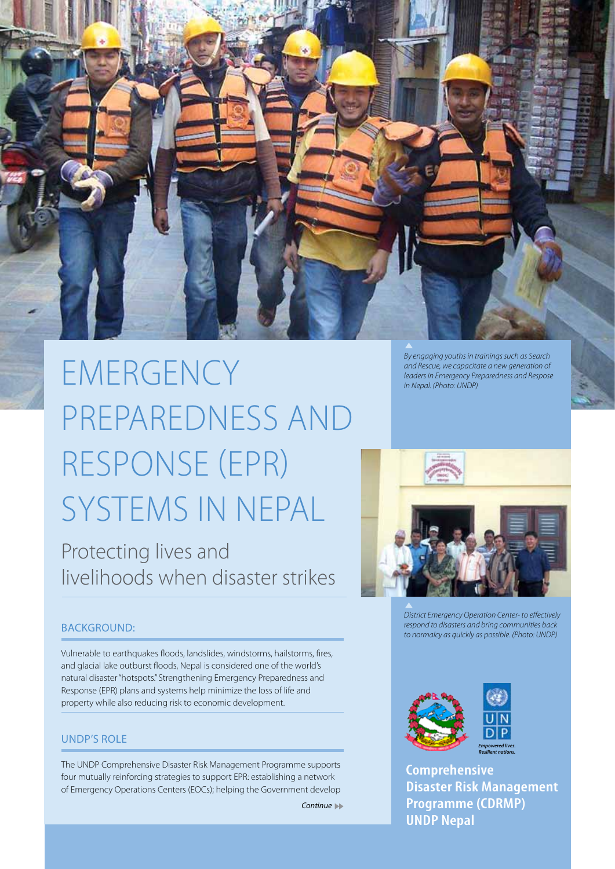

# EMERGENCY Preparedness and Response (EPR) Systems in Nepal

Protecting lives and livelihoods when disaster strikes

*By engaging youths in trainings such as Search and Rescue, we capacitate a new generation of leaders in Emergency Preparedness and Respose in Nepal. (Photo: UNDP)*



*District Emergency Operation Center- to effectively respond to disasters and bring communities back to normalcy as quickly as possible. (Photo: UNDP)*

# BACKGROUND:

Vulnerable to earthquakes floods, landslides, windstorms, hailstorms, fires, and glacial lake outburst floods, Nepal is considered one of the world's natural disaster "hotspots." Strengthening Emergency Preparedness and Response (EPR) plans and systems help minimize the loss of life and property while also reducing risk to economic development.

# UNDP's Role

The UNDP Comprehensive Disaster Risk Management Programme supports four mutually reinforcing strategies to support EPR: establishing a network of Emergency Operations Centers (EOCs); helping the Government develop

*Continue* 



**Comprehensive Disaster Risk Management Programme (CDRMP) UNDP Nepal**